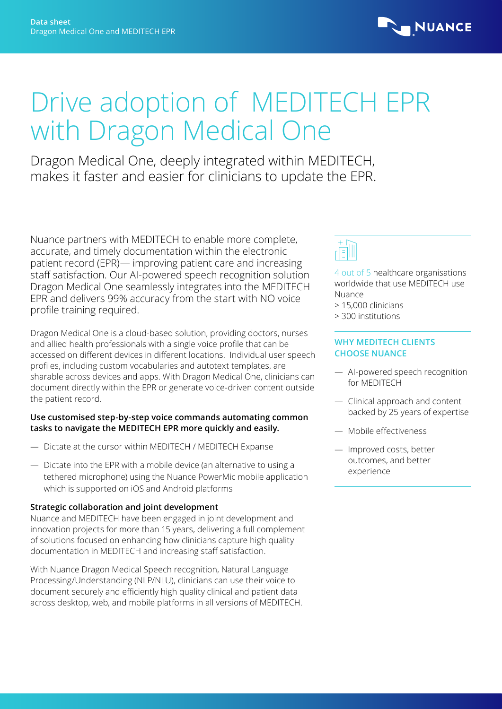

# Drive adoption of MEDITECH EPR with Dragon Medical One

Dragon Medical One, deeply integrated within MEDITECH, makes it faster and easier for clinicians to update the EPR.

Nuance partners with MEDITECH to enable more complete, accurate, and timely documentation within the electronic patient record (EPR)— improving patient care and increasing staff satisfaction. Our AI-powered speech recognition solution Dragon Medical One seamlessly integrates into the MEDITECH EPR and delivers 99% accuracy from the start with NO voice profile training required.

Dragon Medical One is a cloud-based solution, providing doctors, nurses and allied health professionals with a single voice profile that can be accessed on different devices in different locations. Individual user speech profiles, including custom vocabularies and autotext templates, are sharable across devices and apps. With Dragon Medical One, clinicians can document directly within the EPR or generate voice-driven content outside the patient record.

### **Use customised step-by-step voice commands automating common tasks to navigate the MEDITECH EPR more quickly and easily.**

- Dictate at the cursor within MEDITECH / MEDITECH Expanse
- Dictate into the EPR with a mobile device (an alternative to using a tethered microphone) using the Nuance PowerMic mobile application which is supported on iOS and Android platforms

# **Strategic collaboration and joint development**

Nuance and MEDITECH have been engaged in joint development and innovation projects for more than 15 years, delivering a full complement of solutions focused on enhancing how clinicians capture high quality documentation in MEDITECH and increasing staff satisfaction.

With Nuance Dragon Medical Speech recognition, Natural Language Processing/Understanding (NLP/NLU), clinicians can use their voice to document securely and efficiently high quality clinical and patient data across desktop, web, and mobile platforms in all versions of MEDITECH.



4 out of 5 healthcare organisations worldwide that use MEDITECH use Nuance

- > 15,000 clinicians
- > 300 institutions

## **WHY MEDITECH CLIENTS CHOOSE NUANCE**

- AI-powered speech recognition for MEDITECH
- Clinical approach and content backed by 25 years of expertise
- Mobile effectiveness
- Improved costs, better outcomes, and better experience